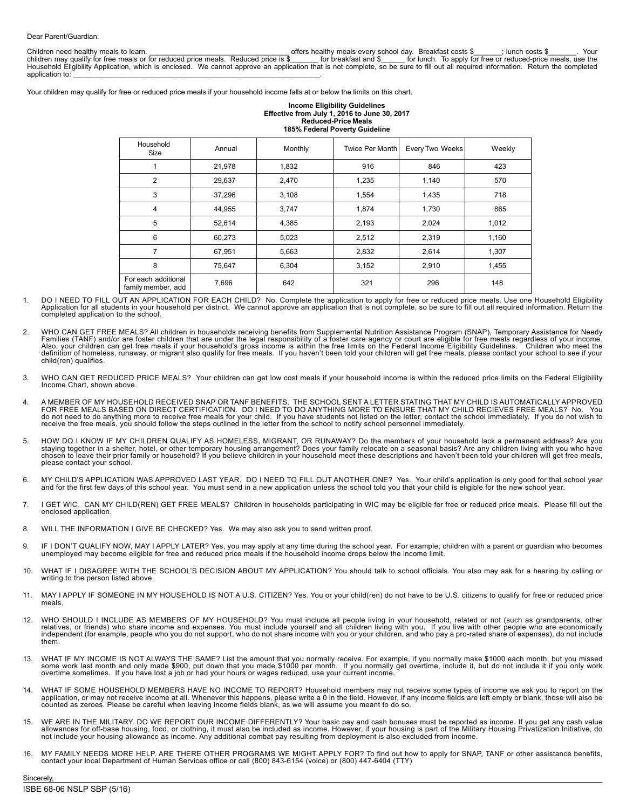Children need healthy meals to learn. \_\_\_\_\_\_\_\_\_\_\_\_\_\_\_\_\_\_\_\_\_\_\_\_\_\_\_\_\_\_\_\_\_\_\_ offers healthy meals every school day. Breakfast costs \$\_\_\_\_\_\_\_; lunch costs \$\_\_\_\_\_\_\_. Your children may qualify for free meals or for reduced price meals. Reduced price is \$\_\_\_\_\_\_ for breakfast and \$\_\_\_\_\_ for lunch. To apply for free or reduced-price meals, use the<br>Household Eligibility Application, which is enc application to:

Your children may qualify for free or reduced price meals if your household income falls at or below the limits on this chart.

#### **Income Eligibility Guidelines Effective from July 1, 2016 to June 30, 2017 Reduced-Price Meals 185% Federal Poverty Guideline**

|  | Household<br>Size                         | Annual | Monthly | Twice Per Month | Every Two Weeks | Weekly |  |  |
|--|-------------------------------------------|--------|---------|-----------------|-----------------|--------|--|--|
|  |                                           | 21,978 | 1,832   | 916             | 846             | 423    |  |  |
|  | $\overline{2}$                            | 29,637 | 2,470   | 1,235           | 1,140           | 570    |  |  |
|  | 3                                         | 37,296 | 3,108   | 1,554           | 1,435           | 718    |  |  |
|  | 4                                         | 44,955 | 3,747   | 1,874           | 1,730           | 865    |  |  |
|  | 5                                         | 52,614 | 4,385   | 2,193           | 2,024           | 1,012  |  |  |
|  | 6                                         | 60,273 | 5,023   | 2,512           | 2,319           | 1,160  |  |  |
|  | 7                                         | 67,951 | 5,663   | 2,832           | 2,614           | 1.307  |  |  |
|  | 8                                         | 75,647 | 6,304   | 3,152           | 2,910           | 1,455  |  |  |
|  | For each additional<br>family member, add | 7,696  | 642     | 321             | 296             | 148    |  |  |

- DO I NEED TO FILL OUT AN APPLICATION FOR EACH CHILD? No. Complete the application to apply for free or reduced price meals. Use one Household Eligibility Application for all students in your household per district. We cannot approve an application that is not complete, so be sure to fill out all required information. Return the completed application to the school.
- 2. WHO CAN GET FREE MEALS? All children in households receiving benefits from Supplemental Nutrition Assistance Program (SNAP), Temporary Assistance for Needy Families (TANF) and/or are foster children that are under the legal responsibility of a foster care agency or court are eligible for free meals regardless of your income.<br>Also, your children can get free meals if your hous definition of homeless, runaway, or migrant also qualify for free meals. If you haven't been told your children will get free meals, please contact your school to see if your child(ren) qualifies.
- 3. WHO CAN GET REDUCED PRICE MEALS? Your children can get low cost meals if your household income is within the reduced price limits on the Federal Eligibility Income Chart, shown above.
- 4. A MEMBER OF MY HOUSEHOLD RECEIVED SNAP OR TANF BENEFITS. THE SCHOOL SENT A LETTER STATING THAT MY CHILD IS AUTOMATICALLY APPROVED<br>FOR FREE MEALS BASED ON DIRECT CERTIFICATION. DO I NEED TO ANYTHING MORE TO ENSURE THAT M receive the free meals, you should follow the steps outlined in the letter from the school to notify school personnel immediately.
- 5. HOW DO I KNOW IF MY CHILDREN QUALIFY AS HOMELESS, MIGRANT, OR RUNAWAY? Do the members of your household lack a permanent address? Are you staying together in a shelter, hotel, or other temporary housing arrangement? Does your family relocate on a seasonal basis? Are any children living with you who have<br>chosen to leave their prior family or household? If you please contact your school.
- 6. MY CHILD'S APPLICATION WAS APPROVED LAST YEAR. DO I NEED TO FILL OUT ANOTHER ONE? Yes. Your child's application is only good for that school year and for the first few days of this school year. You must send in a new application unless the school told you that your child is eligible for the new school year.
- 7. I GET WIC. CAN MY CHILD(REN) GET FREE MEALS? Children in households participating in WIC may be eligible for free or reduced price meals. Please fill out the enclosed application.
- 8. WILL THE INFORMATION I GIVE BE CHECKED? Yes. We may also ask you to send written proof.
- 9. IF I DON'T QUALIFY NOW, MAY I APPLY LATER? Yes, you may apply at any time during the school year. For example, children with a parent or guardian who becomes<br>unemployed may become eligible for free and reduced price me
- 10. WHAT IF I DISAGREE WITH THE SCHOOL'S DECISION ABOUT MY APPLICATION? You should talk to school officials. You also may ask for a hearing by calling or writing to the person listed above.
- 11. MAY I APPLY IF SOMEONE IN MY HOUSEHOLD IS NOT A U.S. CITIZEN? Yes. You or your child(ren) do not have to be U.S. citizens to qualify for free or reduced price meals.
- 12. WHO SHOULD I INCLUDE AS MEMBERS OF MY HOUSEHOLD? You must include all people living in your household, related or not (such as grandparents, other<br>relatives, or friends) who share income and expenses. You must include them.
- 13. WHAT IF MY INCOME IS NOT ALWAYS THE SAME? List the amount that you normally receive. For example, if you normally make \$1000 each month, but you missed some work last month and only made \$900, put down that you made \$1000 per month. If you normally get overtime, include it, but do not include it if you only work overtime sometimes. If you have lost a job or had your hours or wages reduced, use your current income.
- 14. WHAT IF SOME HOUSEHOLD MEMBERS HAVE NO INCOME TO REPORT? Household members may not receive some types of income we ask you to report on the<br>application, or may not receive income at all. Whenever this happens, please w
- 15. WE ARE IN THE MILITARY. DO WE REPORT OUR INCOME DIFFERENTLY? Your basic pay and cash bonuses must be reported as income. If you get any cash value allowances for off-base housing, food, or clothing, it must also be included as income. However, if your housing is part of the Military Housing Privatization Initiative, do not include your housing allowance as income. Any additional combat pay resulting from deployment is also excluded from income.
- 16. MY FAMILY NEEDS MORE HELP. ARE THERE OTHER PROGRAMS WE MIGHT APPLY FOR? To find out how to apply for SNAP, TANF or other assistance benefits, contact your local Department of Human Services office or call (800) 843-6154 (voice) or (800) 447-6404 (TTY)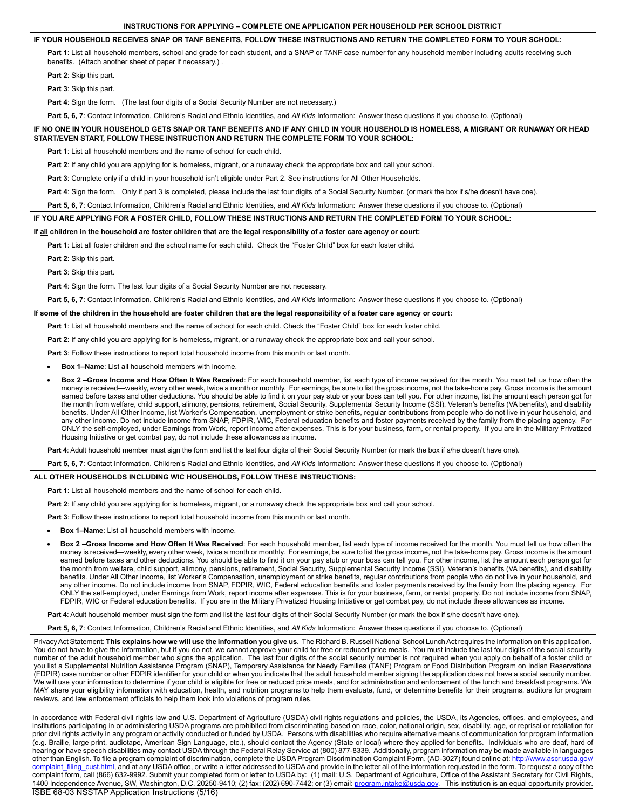# **INSTRUCTIONS FOR APPLYING – COMPLETE ONE APPLICATION PER HOUSEHOLD PER SCHOOL DISTRICT**

### **IF YOUR HOUSEHOLD RECEIVES SNAP OR TANF BENEFITS, FOLLOW THESE INSTRUCTIONS AND RETURN THE COMPLETED FORM TO YOUR SCHOOL:**

Part 1: List all household members, school and grade for each student, and a SNAP or TANF case number for any household member including adults receiving such benefits. (Attach another sheet of paper if necessary.) .

**Part 2**: Skip this part.

**Part 3**: Skip this part.

Part 4: Sign the form. (The last four digits of a Social Security Number are not necessary.)

**Part 5, 6, 7**: Contact Information, Children's Racial and Ethnic Identities, and *All Kids* Information: Answer these questions if you choose to. (Optional)

| IF NO ONE IN YOUR HOUSEHOLD GETS SNAP OR TANF BENEFITS AND IF ANY CHILD IN YOUR HOUSEHOLD IS HOMELESS. A MIGRANT OR RUNAWAY OR HEAD |  |
|-------------------------------------------------------------------------------------------------------------------------------------|--|
| START/EVEN START. FOLLOW THESE INSTRUCTION AND RETURN THE COMPLETE FORM TO YOUR SCHOOL:                                             |  |

**Part 1**: List all household members and the name of school for each child.

**Part 2**: If any child you are applying for is homeless, migrant, or a runaway check the appropriate box and call your school.

**Part 3**: Complete only if a child in your household isn't eligible under Part 2. See instructions for All Other Households.

Part 4: Sign the form. Only if part 3 is completed, please include the last four digits of a Social Security Number. (or mark the box if s/he doesn't have one).

**Part 5, 6, 7**: Contact Information, Children's Racial and Ethnic Identities, and *All Kids* Information: Answer these questions if you choose to. (Optional)

### **IF YOU ARE APPLYING FOR A FOSTER CHILD, FOLLOW THESE INSTRUCTIONS AND RETURN THE COMPLETED FORM TO YOUR SCHOOL:**

#### **If all children in the household are foster children that are the legal responsibility of a foster care agency or court:**

**Part 1**: List all foster children and the school name for each child. Check the "Foster Child" box for each foster child.

**Part 2**: Skip this part.

**Part 3**: Skip this part.

**Part 4:** Sign the form. The last four digits of a Social Security Number are not necessary.

**Part 5, 6, 7**: Contact Information, Children's Racial and Ethnic Identities, and *All Kids* Information: Answer these questions if you choose to. (Optional)

# **If some of the children in the household are foster children that are the legal responsibility of a foster care agency or court:**

**Part 1**: List all household members and the name of school for each child. Check the "Foster Child" box for each foster child.

**Part 2**: If any child you are applying for is homeless, migrant, or a runaway check the appropriate box and call your school.

Part 3: Follow these instructions to report total household income from this month or last month.

- **Box 1-Name:** List all household members with income.
- Box 2-Gross Income and How Often It Was Received: For each household member, list each type of income received for the month. You must tell us how often the money is received—weekly, every other week, twice a month or monthly. For earnings, be sure to list the gross income, not the take-home pay. Gross income is the amount earned before taxes and other deductions. You should be able to find it on your pay stub or your boss can tell you. For other income, list the amount each person got for the month from welfare, child support, alimony, pensions, retirement, Social Security, Supplemental Security Income (SSI), Veteran's benefits (VA benefits), and disability benefits. Under All Other Income, list Worker's Compensation, unemployment or strike benefits, regular contributions from people who do not live in your household, and any other income. Do not include income from SNAP, FDPIR, WIC, Federal education benefits and foster payments received by the family from the placing agency. For ONLY the self-employed, under Earnings from Work, report income after expenses. This is for your business, farm, or rental property. If you are in the Military Privatized Housing Initiative or get combat pay, do not include these allowances as income.

Part 4: Adult household member must sign the form and list the last four digits of their Social Security Number (or mark the box if s/he doesn't have one).

**Part 5, 6, 7**: Contact Information, Children's Racial and Ethnic Identities, and *All Kids* Information: Answer these questions if you choose to. (Optional)

# **ALL OTHER HOUSEHOLDS INCLUDING WIC HOUSEHOLDS, FOLLOW THESE INSTRUCTIONS:**

**Part 1**: List all household members and the name of school for each child.

**Part 2**: If any child you are applying for is homeless, migrant, or a runaway check the appropriate box and call your school.

Part 3: Follow these instructions to report total household income from this month or last month.

- **Box 1–Name:** List all household members with income.
- Box 2-Gross Income and How Often It Was Received: For each household member, list each type of income received for the month. You must tell us how often the money is received—weekly, every other week, twice a month or monthly. For earnings, be sure to list the gross income, not the take-home pay. Gross income is the amount earned before taxes and other deductions. You should be able to find it on your pay stub or your boss can tell you. For other income, list the amount each person got for the month from welfare, child support, alimony, pensions, retirement, Social Security, Supplemental Security Income (SSI), Veteran's benefits (VA benefits), and disability benefits. Under All Other Income, list Worker's Compensation, unemployment or strike benefits, regular contributions from people who do not live in your household, and any other income. Do not include income from SNAP, FDPIR, WIC, Federal education benefits and foster payments received by the family from the placing agency. For ONLY the self-employed, under Earnings from Work, report income after expenses. This is for your business, farm, or rental property. Do not include income from SNAP, FDPIR, WIC or Federal education benefits. If you are in the Military Privatized Housing Initiative or get combat pay, do not include these allowances as income.

Part 4: Adult household member must sign the form and list the last four digits of their Social Security Number (or mark the box if s/he doesn't have one).

**Part 5, 6, 7**: Contact Information, Children's Racial and Ethnic Identities, and *All Kids* Information: Answer these questions if you choose to. (Optional)

Privacy Act Statement: **This explains how we will use the information you give us.** The Richard B. Russell National School Lunch Act requires the information on this application. You do not have to give the information, but if you do not, we cannot approve your child for free or reduced price meals. You must include the last four digits of the social security number of the adult household member who signs the application. The last four digits of the social security number is not required when you apply on behalf of a foster child or you list a Supplemental Nutrition Assistance Program (SNAP), Temporary Assistance for Needy Families (TANF) Program or Food Distribution Program on Indian Reservations (FDPIR) case number or other FDPIR identifier for your child or when you indicate that the adult household member signing the application does not have a social security number. We will use your information to determine if your child is eligible for free or reduced price meals, and for administration and enforcement of the lunch and breakfast programs. We MAY share your eligibility information with education, health, and nutrition programs to help them evaluate, fund, or determine benefits for their programs, auditors for program reviews, and law enforcement officials to help them look into violations of program rules.

ISBE 68-03 NSSTAP Application Instructions (5/16) In accordance with Federal civil rights law and U.S. Department of Agriculture (USDA) civil rights regulations and policies, the USDA, its Agencies, offices, and employees, and institutions participating in or administering USDA programs are prohibited from discriminating based on race, color, national origin, sex, disability, age, or reprisal or retaliation for prior civil rights activity in any program or activity conducted or funded by USDA. Persons with disabilities who require alternative means of communication for program information (e.g. Braille, large print, audiotape, American Sign Language, etc.), should contact the Agency (State or local) where they applied for benefits. Individuals who are deaf, hard of hearing or have speech disabilities may contact USDA through the Federal Relay Service at (800) 877-8339. Additionally, program information may be made available in languages other than English. To file a program complaint of discrimination, complete the USDA Program Discrimination Complaint Form, (AD-3027) found online at: http://www.ascr.usda.gov/ laint\_filing\_cust.html, and at any USDA office, or write a letter addressed to USDA and provide in the letter all of the information requested in the form. To request a copy of the complaint form, call (866) 632-9992. Submit your completed form or letter to USDA by: (1) mail: U.S. Department of Agriculture, Office of the Assistant Secretary for Civil Rights, 1400 Independence Avenue, SW, Washington, D.C. 20250-9410; (2) fax: (202) 690-7442; or (3) email: <u>program.intake@usda.gov</u>. This institution is an equal opportunity provider.